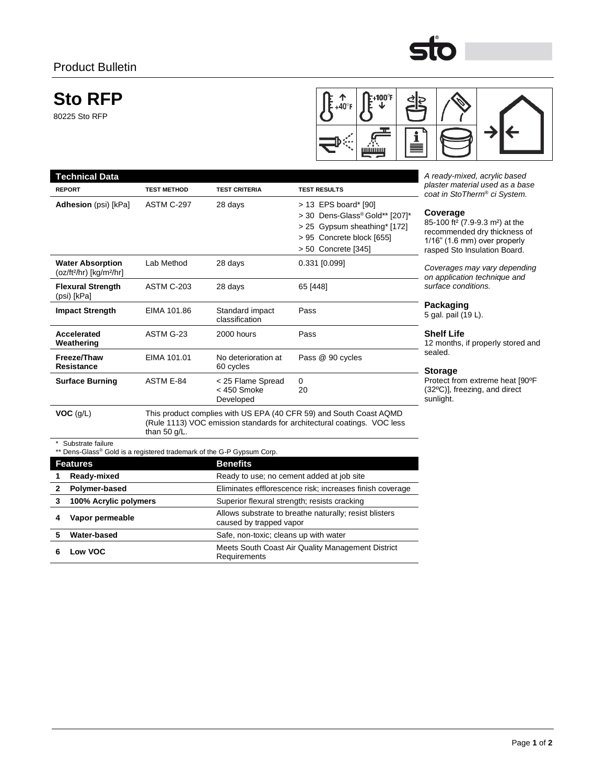# **Sto RFP**

80225 Sto RFP



Ō

| <b>Technical Data</b>                                                                      |                                                                                                                                                                 |                                                                                   |                                                                                                                                            | A ready-mixed, acrylic based                                                                                                                                           |
|--------------------------------------------------------------------------------------------|-----------------------------------------------------------------------------------------------------------------------------------------------------------------|-----------------------------------------------------------------------------------|--------------------------------------------------------------------------------------------------------------------------------------------|------------------------------------------------------------------------------------------------------------------------------------------------------------------------|
| <b>REPORT</b>                                                                              | <b>TEST METHOD</b>                                                                                                                                              | <b>TEST CRITERIA</b>                                                              | <b>TEST RESULTS</b>                                                                                                                        | plaster material used as a base<br>coat in StoTherm® ci System.                                                                                                        |
| Adhesion (psi) [kPa]                                                                       | ASTM C-297                                                                                                                                                      | 28 days                                                                           | > 13 EPS board* [90]<br>> 30 Dens-Glass® Gold** [207]*<br>> 25 Gypsum sheathing* [172]<br>> 95 Concrete block [655]<br>> 50 Concrete [345] | Coverage<br>85-100 ft <sup>2</sup> (7.9-9.3 m <sup>2</sup> ) at the<br>recommended dry thickness of<br>$1/16$ " (1.6 mm) over properly<br>rasped Sto Insulation Board. |
| <b>Water Absorption</b><br>$(oz/ft2/hr)$ [kg/m <sup>2</sup> /hr]                           | Lab Method                                                                                                                                                      | 28 days                                                                           | 0.331 [0.099]                                                                                                                              | Coverages may vary depending<br>on application technique and                                                                                                           |
| <b>Flexural Strength</b><br>(psi) [kPa]                                                    | <b>ASTM C-203</b>                                                                                                                                               | 28 days                                                                           | 65 [448]                                                                                                                                   | surface conditions.                                                                                                                                                    |
| <b>Impact Strength</b>                                                                     | EIMA 101.86                                                                                                                                                     | Standard impact<br>classification                                                 | Pass                                                                                                                                       | Packaging<br>5 gal. pail (19 L).                                                                                                                                       |
| Accelerated<br>Weathering                                                                  | ASTM G-23                                                                                                                                                       | 2000 hours                                                                        | Pass                                                                                                                                       | <b>Shelf Life</b><br>12 months, if properly stored an                                                                                                                  |
| Freeze/Thaw<br><b>Resistance</b>                                                           | EIMA 101.01                                                                                                                                                     | No deterioration at<br>60 cycles                                                  | Pass @ 90 cycles                                                                                                                           | sealed.<br><b>Storage</b>                                                                                                                                              |
| <b>Surface Burning</b>                                                                     | <b>ASTM E-84</b>                                                                                                                                                | < 25 Flame Spread<br>$< 450$ Smoke<br>Developed                                   | $\Omega$<br>20                                                                                                                             | Protect from extreme heat [90°F<br>$(32^{\circ}C)$ ], freezing, and direct<br>sunlight.                                                                                |
| VOC (g/L)                                                                                  | This product complies with US EPA (40 CFR 59) and South Coast AQMD<br>(Rule 1113) VOC emission standards for architectural coatings. VOC less<br>than $50$ g/L. |                                                                                   |                                                                                                                                            |                                                                                                                                                                        |
| Substrate failure<br>** Dens-Glass® Gold is a registered trademark of the G-P Gypsum Corp. |                                                                                                                                                                 |                                                                                   |                                                                                                                                            |                                                                                                                                                                        |
| <b>Features</b>                                                                            | <b>Benefits</b>                                                                                                                                                 |                                                                                   |                                                                                                                                            |                                                                                                                                                                        |
| Ready-mixed<br>1                                                                           |                                                                                                                                                                 |                                                                                   | Ready to use; no cement added at job site                                                                                                  |                                                                                                                                                                        |
| $\mathbf{2}$<br>Polymer-based                                                              |                                                                                                                                                                 | Eliminates efflorescence risk; increases finish coverage                          |                                                                                                                                            |                                                                                                                                                                        |
| 3<br>100% Acrylic polymers                                                                 |                                                                                                                                                                 | Superior flexural strength; resists cracking                                      |                                                                                                                                            |                                                                                                                                                                        |
| Vapor permeable<br>4                                                                       |                                                                                                                                                                 | Allows substrate to breathe naturally; resist blisters<br>caused by trapped vapor |                                                                                                                                            |                                                                                                                                                                        |
| 5<br>Water-based                                                                           |                                                                                                                                                                 | Safe, non-toxic; cleans up with water                                             |                                                                                                                                            |                                                                                                                                                                        |

**6 Low VOC** Meets South Coast Air Quality Management District<br> **6 Low VOC Designate** Requirements

d and

Page **1** of **2**